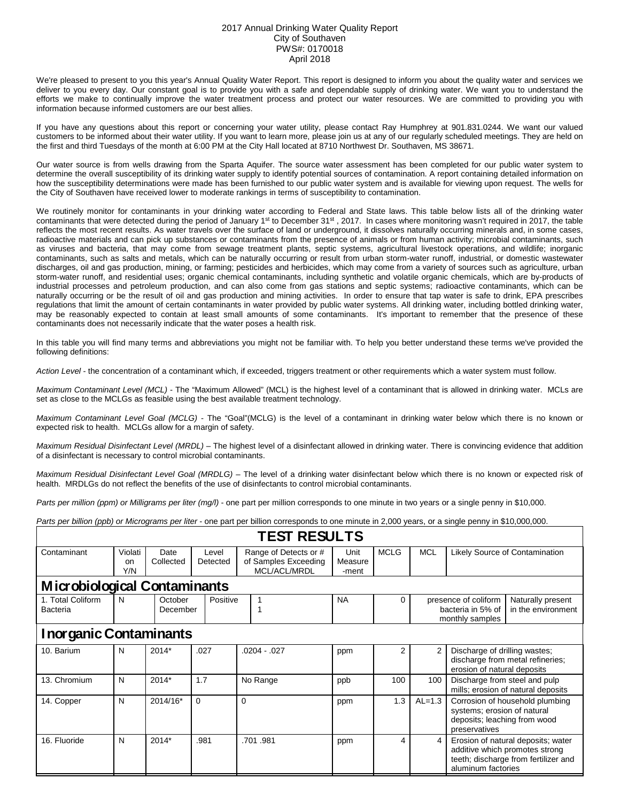## 2017 Annual Drinking Water Quality Report City of Southaven PWS#: 0170018 April 2018

We're pleased to present to you this year's Annual Quality Water Report. This report is designed to inform you about the quality water and services we deliver to you every day. Our constant goal is to provide you with a safe and dependable supply of drinking water. We want you to understand the efforts we make to continually improve the water treatment process and protect our water resources. We are committed to providing you with information because informed customers are our best allies.

If you have any questions about this report or concerning your water utility, please contact Ray Humphrey at 901.831.0244. We want our valued customers to be informed about their water utility. If you want to learn more, please join us at any of our regularly scheduled meetings. They are held on the first and third Tuesdays of the month at 6:00 PM at the City Hall located at 8710 Northwest Dr. Southaven, MS 38671.

Our water source is from wells drawing from the Sparta Aquifer. The source water assessment has been completed for our public water system to determine the overall susceptibility of its drinking water supply to identify potential sources of contamination. A report containing detailed information on how the susceptibility determinations were made has been furnished to our public water system and is available for viewing upon request. The wells for the City of Southaven have received lower to moderate rankings in terms of susceptibility to contamination.

We routinely monitor for contaminants in your drinking water according to Federal and State laws. This table below lists all of the drinking water contaminants that were detected during the period of January 1<sup>st</sup> to December 31<sup>st</sup>, 2017. In cases where monitoring wasn't required in 2017, the table reflects the most recent results. As water travels over the surface of land or underground, it dissolves naturally occurring minerals and, in some cases, radioactive materials and can pick up substances or contaminants from the presence of animals or from human activity; microbial contaminants, such as viruses and bacteria, that may come from sewage treatment plants, septic systems, agricultural livestock operations, and wildlife; inorganic contaminants, such as salts and metals, which can be naturally occurring or result from urban storm-water runoff, industrial, or domestic wastewater discharges, oil and gas production, mining, or farming; pesticides and herbicides, which may come from a variety of sources such as agriculture, urban storm-water runoff, and residential uses; organic chemical contaminants, including synthetic and volatile organic chemicals, which are by-products of industrial processes and petroleum production, and can also come from gas stations and septic systems; radioactive contaminants, which can be naturally occurring or be the result of oil and gas production and mining activities. In order to ensure that tap water is safe to drink, EPA prescribes regulations that limit the amount of certain contaminants in water provided by public water systems. All drinking water, including bottled drinking water, may be reasonably expected to contain at least small amounts of some contaminants. It's important to remember that the presence of these contaminants does not necessarily indicate that the water poses a health risk.

In this table you will find many terms and abbreviations you might not be familiar with. To help you better understand these terms we've provided the following definitions:

*Action Level* - the concentration of a contaminant which, if exceeded, triggers treatment or other requirements which a water system must follow.

*Maximum Contaminant Level (MCL)* - The "Maximum Allowed" (MCL) is the highest level of a contaminant that is allowed in drinking water. MCLs are set as close to the MCLGs as feasible using the best available treatment technology.

*Maximum Contaminant Level Goal (MCLG)* - The "Goal"(MCLG) is the level of a contaminant in drinking water below which there is no known or expected risk to health. MCLGs allow for a margin of safety.

*Maximum Residual Disinfectant Level (MRDL)* – The highest level of a disinfectant allowed in drinking water. There is convincing evidence that addition of a disinfectant is necessary to control microbial contaminants.

*Maximum Residual Disinfectant Level Goal (MRDLG)* – The level of a drinking water disinfectant below which there is no known or expected risk of health. MRDLGs do not reflect the benefits of the use of disinfectants to control microbial contaminants.

*Parts per million (ppm) or Milligrams per liter (mg/l)* - one part per million corresponds to one minute in two years or a single penny in \$10,000.

*Parts per billion (ppb) or Micrograms per liter* - one part per billion corresponds to one minute in 2,000 years, or a single penny in \$10,000,000.

| <b>TEST RESULTS</b>                 |                                 |                     |                   |             |                                                               |  |                          |             |                                                              |                                                                                                                                    |                                         |  |
|-------------------------------------|---------------------------------|---------------------|-------------------|-------------|---------------------------------------------------------------|--|--------------------------|-------------|--------------------------------------------------------------|------------------------------------------------------------------------------------------------------------------------------------|-----------------------------------------|--|
| Contaminant                         | Violati<br><sub>on</sub><br>Y/N | Date<br>Collected   | Level<br>Detected |             | Range of Detects or #<br>of Samples Exceeding<br>MCL/ACL/MRDL |  | Unit<br>Measure<br>-ment | <b>MCLG</b> | <b>MCL</b><br>Likely Source of Contamination                 |                                                                                                                                    |                                         |  |
| <b>Microbiological Contaminants</b> |                                 |                     |                   |             |                                                               |  |                          |             |                                                              |                                                                                                                                    |                                         |  |
| 1. Total Coliform<br>Bacteria       | N                               | October<br>December |                   | Positive    |                                                               |  | <b>NA</b>                | 0           | presence of coliform<br>bacteria in 5% of<br>monthly samples |                                                                                                                                    | Naturally present<br>in the environment |  |
| <b>Inorganic Contaminants</b>       |                                 |                     |                   |             |                                                               |  |                          |             |                                                              |                                                                                                                                    |                                         |  |
| 10. Barium                          | N                               | 2014*               | .027              |             | .0204 - .027                                                  |  | ppm                      | 2           | 2                                                            | Discharge of drilling wastes;<br>discharge from metal refineries;<br>erosion of natural deposits                                   |                                         |  |
| 13. Chromium                        | N                               | $2014*$             | 1.7               |             | No Range                                                      |  | ppb                      | 100         | 100                                                          | Discharge from steel and pulp<br>mills; erosion of natural deposits                                                                |                                         |  |
| 14. Copper                          | N                               | 2014/16*            | 0                 | $\mathbf 0$ |                                                               |  | ppm                      | 1.3         | $AL=1.3$                                                     | Corrosion of household plumbing<br>systems; erosion of natural<br>deposits; leaching from wood<br>preservatives                    |                                         |  |
| 16. Fluoride                        | N                               | $2014*$             |                   | .981        | .701.981                                                      |  | ppm                      | 4           | 4                                                            | Erosion of natural deposits; water<br>additive which promotes strong<br>teeth; discharge from fertilizer and<br>aluminum factories |                                         |  |